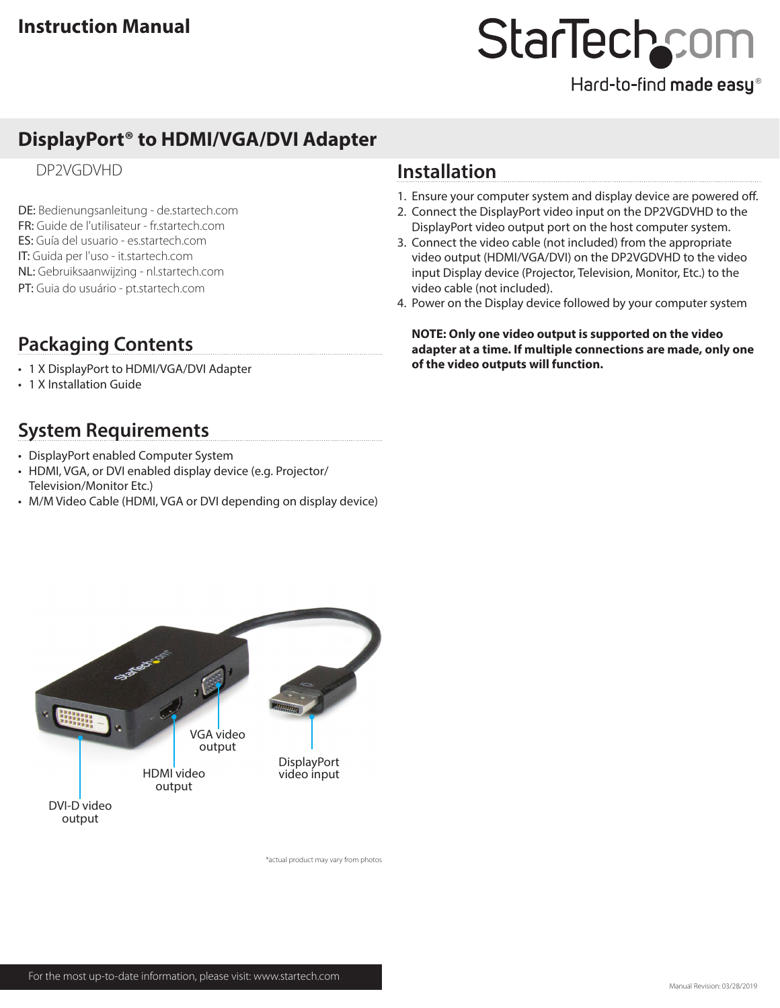# StarTechcom

Hard-to-find made easy®

## **DisplayPort® to HDMI/VGA/DVI Adapter**

### DP2VGDVHD

DE: Bedienungsanleitung - de.startech.com FR: Guide de l'utilisateur - fr.startech.com ES: Guía del usuario - es.startech.com IT: Guida per l'uso - it.startech.com NL: Gebruiksaanwijzing - nl.startech.com PT: Guia do usuário - pt.startech.com

## **Packaging Contents**

- 1 X DisplayPort to HDMI/VGA/DVI Adapter
- 1 X Installation Guide

## **System Requirements**

- DisplayPort enabled Computer System
- HDMI, VGA, or DVI enabled display device (e.g. Projector/ Television/Monitor Etc.)
- M/M Video Cable (HDMI, VGA or DVI depending on display device)

## **Installation**

- 1. Ensure your computer system and display device are powered off.
- 2. Connect the DisplayPort video input on the DP2VGDVHD to the DisplayPort video output port on the host computer system.
- 3. Connect the video cable (not included) from the appropriate video output (HDMI/VGA/DVI) on the DP2VGDVHD to the video input Display device (Projector, Television, Monitor, Etc.) to the video cable (not included).
- 4. Power on the Display device followed by your computer system

**NOTE: Only one video output is supported on the video adapter at a time. If multiple connections are made, only one of the video outputs will function.**



\*actual product may vary from photos